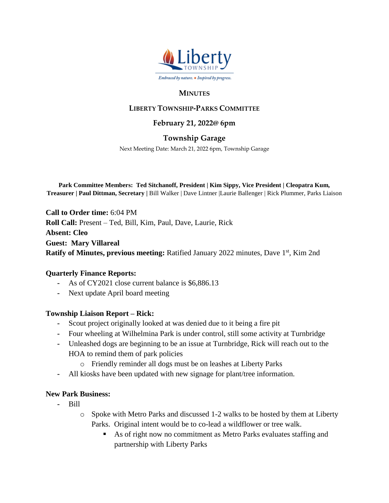

### **MINUTES**

## **LIBERTY TOWNSHIP-PARKS COMMITTEE**

#### **February 21, 2022@ 6pm**

### **Township Garage**

Next Meeting Date: March 21, 2022 6pm, Township Garage

**Park Committee Members: Ted Sitchanoff, President | Kim Sippy, Vice President | Cleopatra Kum, Treasurer | Paul Dittman, Secretary |** Bill Walker | Dave Lintner |Laurie Ballenger | Rick Plummer, Parks Liaison

**Call to Order time:** 6:04 PM **Roll Call:** Present – Ted, Bill, Kim, Paul, Dave, Laurie, Rick **Absent: Cleo Guest: Mary Villareal** Ratify of Minutes, previous meeting: Ratified January 2022 minutes, Dave 1<sup>st</sup>, Kim 2nd

#### **Quarterly Finance Reports:**

- **-** As of CY2021 close current balance is \$6,886.13
- **-** Next update April board meeting

#### **Township Liaison Report – Rick:**

- **-** Scout project originally looked at was denied due to it being a fire pit
- **-** Four wheeling at Wilhelmina Park is under control, still some activity at Turnbridge
- **-** Unleashed dogs are beginning to be an issue at Turnbridge, Rick will reach out to the HOA to remind them of park policies
	- o Friendly reminder all dogs must be on leashes at Liberty Parks
- **-** All kiosks have been updated with new signage for plant/tree information.

#### **New Park Business:**

- **-** Bill
	- o Spoke with Metro Parks and discussed 1-2 walks to be hosted by them at Liberty Parks. Original intent would be to co-lead a wildflower or tree walk.
		- As of right now no commitment as Metro Parks evaluates staffing and partnership with Liberty Parks